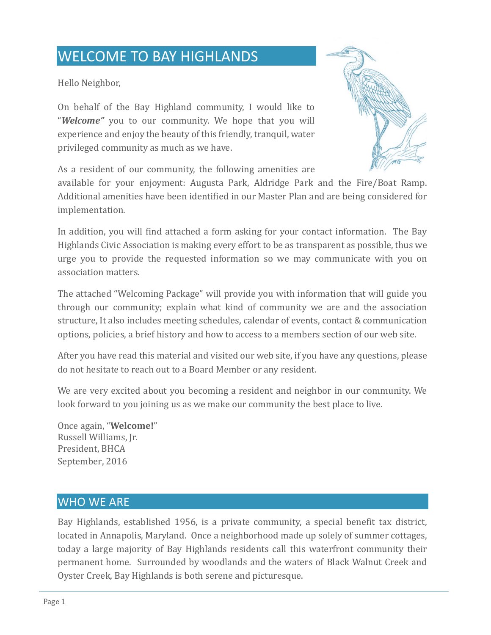# WELCOME TO BAY HIGHLANDS

Hello Neighbor,

On behalf of the Bay Highland community, I would like to "*Welcome"* you to our community. We hope that you will experience and enjoy the beauty of this friendly, tranquil, water privileged community as much as we have.



As a resident of our community, the following amenities are

available for your enjoyment: Augusta Park, Aldridge Park and the Fire/Boat Ramp. Additional amenities have been identified in our Master Plan and are being considered for implementation.

In addition, you will find attached a form asking for your contact information. The Bay Highlands Civic Association is making every effort to be as transparent as possible, thus we urge you to provide the requested information so we may communicate with you on association matters.

The attached "Welcoming Package" will provide you with information that will guide you through our community; explain what kind of community we are and the association structure, It also includes meeting schedules, calendar of events, contact & communication options, policies, a brief history and how to access to a members section of our web site.

After you have read this material and visited our web site, if you have any questions, please do not hesitate to reach out to a Board Member or any resident.

We are very excited about you becoming a resident and neighbor in our community. We look forward to you joining us as we make our community the best place to live.

Once again, "**Welcome!**" Russell Williams, Jr. President, BHCA September, 2016

# WHO WE ARE

Bay Highlands, established 1956, is a private community, a special benefit tax district, located in Annapolis, Maryland. Once a neighborhood made up solely of summer cottages, today a large majority of Bay Highlands residents call this waterfront community their permanent home. Surrounded by woodlands and the waters of Black Walnut Creek and Oyster Creek, Bay Highlands is both serene and picturesque.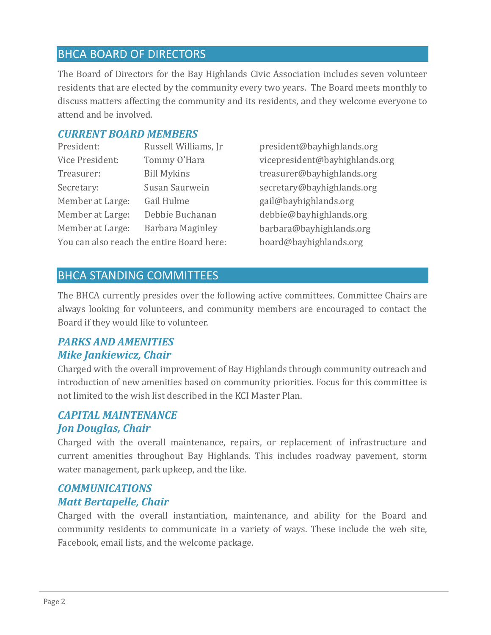# BHCA BOARD OF DIRECTORS

The Board of Directors for the Bay Highlands Civic Association includes seven volunteer residents that are elected by the community every two years. The Board meets monthly to discuss matters affecting the community and its residents, and they welcome everyone to attend and be involved.

### *CURRENT BOARD MEMBERS*

| Russell Williams, Jr                      |  |  |  |
|-------------------------------------------|--|--|--|
| Tommy O'Hara                              |  |  |  |
| <b>Bill Mykins</b>                        |  |  |  |
| Susan Saurwein                            |  |  |  |
| Gail Hulme                                |  |  |  |
| Debbie Buchanan                           |  |  |  |
| Barbara Maginley                          |  |  |  |
| You can also reach the entire Board here: |  |  |  |
|                                           |  |  |  |

[president@bayhighlands.org](mailto:president@bayhighlands.org) vice president@bayhighlands.org [treasurer@bayhighlands.org](mailto:treasurer@bayhighlands.org) [secretary@bayhighlands.org](mailto:secretary@bayhighlands.org) [gail@bayhighlands.org](mailto:gail@bayhighlands.org)  debbie[@bayhighlands.org](mailto:lonnie@bayhighlands.org) [barbara@bayhighlands.org](mailto:barbara@bayhighlands.org) [board@bayhighlands.org](mailto:board@bayhighlands.org)

## BHCA STANDING COMMITTEES

The BHCA currently presides over the following active committees. Committee Chairs are always looking for volunteers, and community members are encouraged to contact the Board if they would like to volunteer.

## *PARKS AND AMENITIES Mike Jankiewicz, Chair*

Charged with the overall improvement of Bay Highlands through community outreach and introduction of new amenities based on community priorities. Focus for this committee is not limited to the wish list described in the KCI Master Plan.

## *CAPITAL MAINTENANCE Jon Douglas, Chair*

Charged with the overall maintenance, repairs, or replacement of infrastructure and current amenities throughout Bay Highlands. This includes roadway pavement, storm water management, park upkeep, and the like.

## *COMMUNICATIONS Matt Bertapelle, Chair*

Charged with the overall instantiation, maintenance, and ability for the Board and community residents to communicate in a variety of ways. These include the web site, Facebook, email lists, and the welcome package.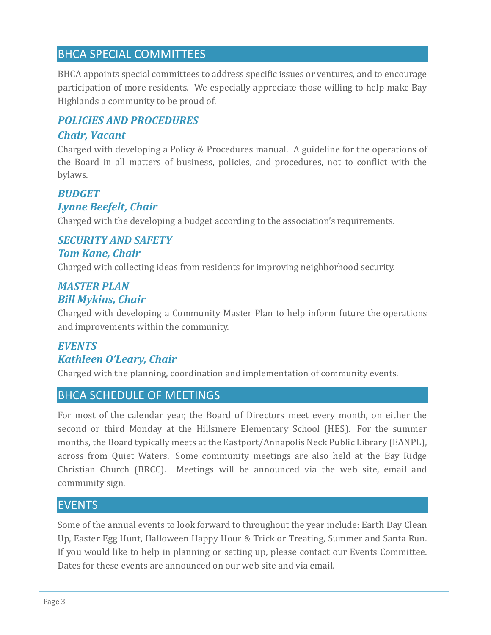# BHCA SPECIAL COMMITTEES

BHCA appoints special committees to address specific issues or ventures, and to encourage participation of more residents. We especially appreciate those willing to help make Bay Highlands a community to be proud of.

# *POLICIES AND PROCEDURES*

## *Chair, Vacant*

Charged with developing a Policy & Procedures manual. A guideline for the operations of the Board in all matters of business, policies, and procedures, not to conflict with the bylaws.

## *BUDGET*

## *Lynne Beefelt, Chair*

Charged with the developing a budget according to the association's requirements.

## *SECURITY AND SAFETY Tom Kane, Chair*

Charged with collecting ideas from residents for improving neighborhood security.

## *MASTER PLAN Bill Mykins, Chair*

Charged with developing a Community Master Plan to help inform future the operations and improvements within the community.

# *EVENTS Kathleen O'Leary, Chair*

Charged with the planning, coordination and implementation of community events.

## BHCA SCHEDULE OF MEETINGS

For most of the calendar year, the Board of Directors meet every month, on either the second or third Monday at the Hillsmere Elementary School (HES). For the summer months, the Board typically meets at the Eastport/Annapolis Neck Public Library (EANPL), across from Quiet Waters. Some community meetings are also held at the Bay Ridge Christian Church (BRCC). Meetings will be announced via the web site, email and community sign.

## EVENTS

Some of the annual events to look forward to throughout the year include: Earth Day Clean Up, Easter Egg Hunt, Halloween Happy Hour & Trick or Treating, Summer and Santa Run. If you would like to help in planning or setting up, please contact our Events Committee. Dates for these events are announced on our web site and via email.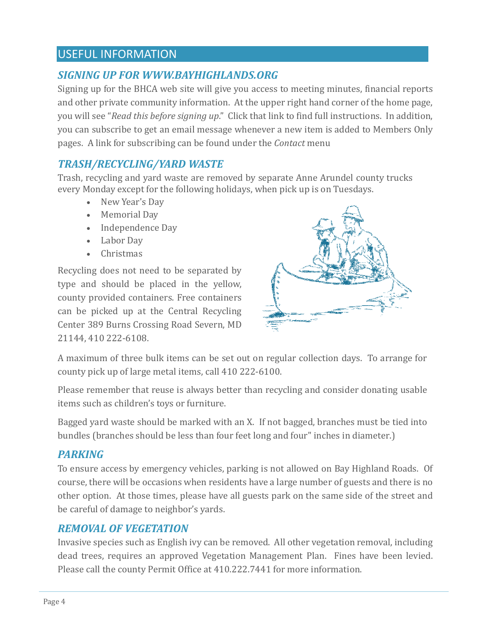# USEFUL INFORMATION

# *SIGNING UP FOR WWW.BAYHIGHLANDS.ORG*

Signing up for the BHCA web site will give you access to meeting minutes, financial reports and other private community information. At the upper right hand corner of the home page, you will see "*Read this before signing up*." Click that link to find full instructions. In addition, you can subscribe to get an email message whenever a new item is added to Members Only pages. A link for subscribing can be found under the *Contact* menu

## *TRASH/RECYCLING/YARD WASTE*

Trash, recycling and yard waste are removed by separate Anne Arundel county trucks every Monday except for the following holidays, when pick up is on Tuesdays.

- New Year's Day
- Memorial Day
- Independence Day
- Labor Day
- Christmas

Recycling does not need to be separated by type and should be placed in the yellow, county provided containers. Free containers can be picked up at the Central Recycling Center 389 Burns Crossing Road Severn, MD 21144, 410 222-6108.



A maximum of three bulk items can be set out on regular collection days. To arrange for county pick up of large metal items, call 410 222-6100.

Please remember that reuse is always better than recycling and consider donating usable items such as children's toys or furniture.

Bagged yard waste should be marked with an X. If not bagged, branches must be tied into bundles (branches should be less than four feet long and four" inches in diameter.)

## *PARKING*

To ensure access by emergency vehicles, parking is not allowed on Bay Highland Roads. Of course, there will be occasions when residents have a large number of guests and there is no other option. At those times, please have all guests park on the same side of the street and be careful of damage to neighbor's yards.

## *REMOVAL OF VEGETATION*

Invasive species such as English ivy can be removed. All other vegetation removal, including dead trees, requires an approved Vegetation Management Plan. Fines have been levied. Please call the county Permit Office at 410.222.7441 for more information.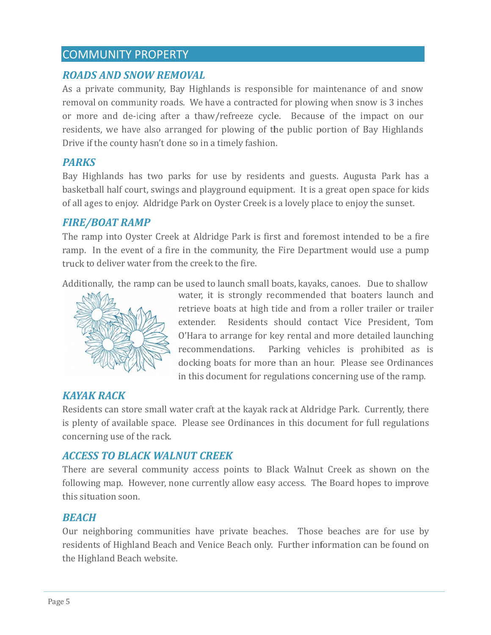# COMMUNITY PROPERTY

## **ROADS AND SNOW REMOVAL**

As a private community, Bay Highlands is responsible for maintenance of and snow removal on community roads. We have a contracted for plowing when snow is 3 inches or more and de-icing after a thaw/refreeze cycle. Because of the impact on our residents, we have also arranged for plowing of the public portion of Bay Highlands Drive if the county hasn't done so in a timely fashion.

## *PARKS S*

Bay Highlands has two parks for use by residents and guests. Augusta Park has a basketball half court, swings and playground equipment. It is a great open space for kids of all ages to enjoy. Aldridge Park on Oyster Creek is a lovely place to enjoy the sunset.

## *<i>FIRE/BOAT RAMP*

The ramp into Oyster Creek at Aldridge Park is first and foremost intended to be a fire ramp. In the event of a fire in the community, the Fire Department would use a pump truck to deliver water from the creek to the fire.

Additionally, the ramp can be used to launch small boats, kayaks, canoes. Due to shallow



water, it is strongly recommended that boaters launch and retrieve boats at high tide and from a roller trailer or trailer extender. Residents should contact Vice President, Tom O'Hara to arrange for key rental and more detailed launching recommendations. Parking vehicles is prohibited as is docking boats for more than an hour. Please see Ordinances in this document for regulations concerning use of the ramp.

## *KAYAK K RACK*

Residents can store small water craft at the kayak rack at Aldridge Park. Currently, there is plenty of available space. Please see Ordinances in this document for full regulations concerning use of the rack.

## *ACCES SS TO BLA CK WALN UT CREEK K*

There are several community access points to Black Walnut Creek as shown on the following map. However, none currently allow easy access. The Board hopes to improve this situation soon.

### *BEACH H*

Our neighboring communities have private beaches. Those beaches are for use by residents of Highland Beach and Venice Beach only. Further information can be found on the Highland Beach website.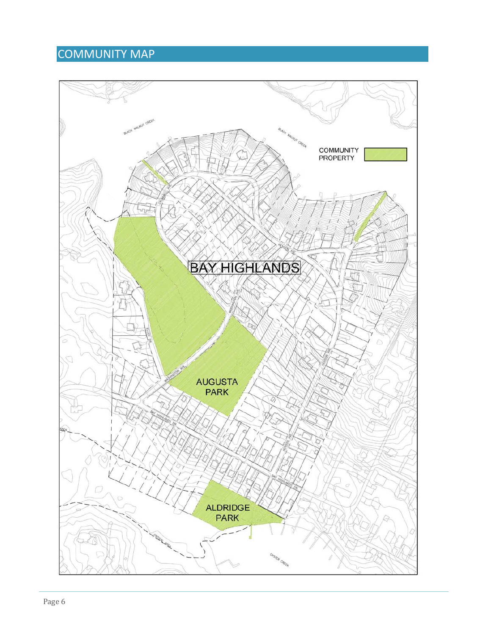# COMMUNITY MAP

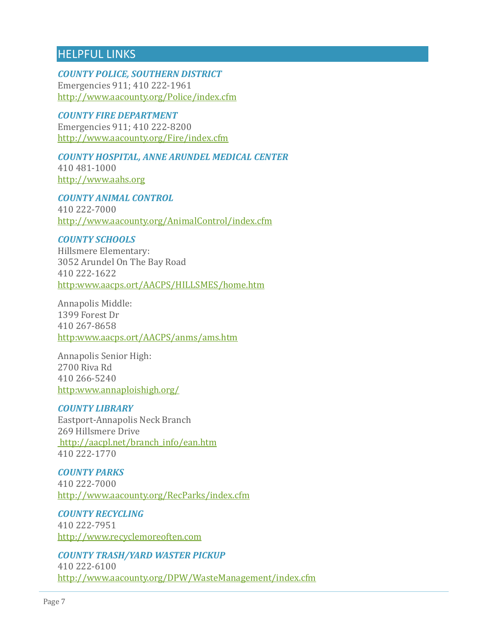# HELPFUL LINKS

*COUNTY POLICE, SOUTHERN DISTRICT* Emergencies 911; 410 222-1961 <http://www.aacounty.org/Police/index.cfm>

### *COUNTY FIRE DEPARTMENT*

Emergencies 911; 410 222-8200 <http://www.aacounty.org/Fire/index.cfm>

# *COUNTY HOSPITAL, ANNE ARUNDEL MEDICAL CENTER*

410 481-1000 [http://www.aahs.org](http://www.aahs.org/)

*COUNTY ANIMAL CONTROL* 410 222-7000 <http://www.aacounty.org/AnimalControl/index.cfm>

### *COUNTY SCHOOLS*

Hillsmere Elementary: 3052 Arundel On The Bay Road 410 222-1622 [http:www.aacps.ort/AACPS/HILLSMES/home.htm](http://www.aacps.ort/AACPS/HILLSMES/home.htm)

Annapolis Middle: 1399 Forest Dr 410 267-8658 [http:www.aacps.ort/AACPS/anms/ams.htm](http://www.aacps.ort/AACPS/anms/ams.htm)

Annapolis Senior High: 2700 Riva Rd 410 266-5240 [http:www.annaploishigh.org/](http://www.annaploishigh.org/)

### *COUNTY LIBRARY*

Eastport-Annapolis Neck Branch 269 Hillsmere Drive [http://aacpl.net/branch\\_info/ean.htm](http://aacpl.net/branch_info/ean.htm) 410 222-1770

*COUNTY PARKS*  410 222-7000 <http://www.aacounty.org/RecParks/index.cfm>

*COUNTY RECYCLING*  410 222-7951 [http://www.recyclemoreoften.com](http://www.recyclemoreoften.com/)

*COUNTY TRASH/YARD WASTER PICKUP* 

410 222-6100 <http://www.aacounty.org/DPW/WasteManagement/index.cfm>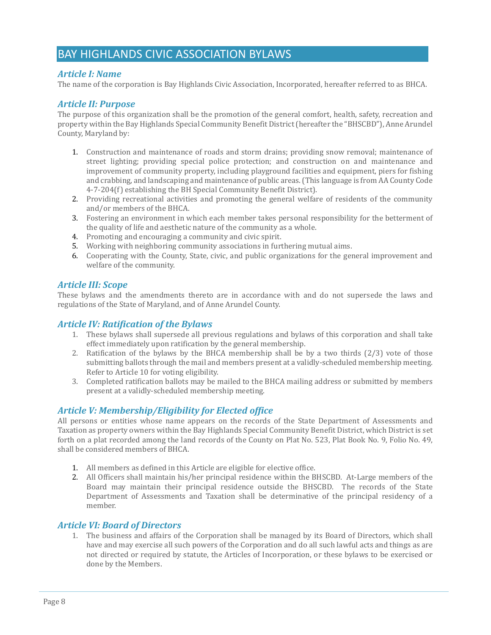# BAY HIGHLANDS CIVIC ASSOCIATION BYLAWS

### *Article I: Name*

The name of the corporation is Bay Highlands Civic Association, Incorporated, hereafter referred to as BHCA.

#### *Article II: Purpose*

The purpose of this organization shall be the promotion of the general comfort, health, safety, recreation and property within the Bay Highlands Special Community Benefit District (hereafter the "BHSCBD"), Anne Arundel County, Maryland by:

- 1. Construction and maintenance of roads and storm drains; providing snow removal; maintenance of street lighting; providing special police protection; and construction on and maintenance and improvement of community property, including playground facilities and equipment, piers for fishing and crabbing, and landscaping and maintenance of public areas. (This language is from AA County Code 4-7-204(f) establishing the BH Special Community Benefit District).
- 2. Providing recreational activities and promoting the general welfare of residents of the community and/or members of the BHCA.
- 3. Fostering an environment in which each member takes personal responsibility for the betterment of the quality of life and aesthetic nature of the community as a whole.
- 4. Promoting and encouraging a community and civic spirit.
- 5. Working with neighboring community associations in furthering mutual aims.
- 6. Cooperating with the County, State, civic, and public organizations for the general improvement and welfare of the community.

### *Article III: Scope*

These bylaws and the amendments thereto are in accordance with and do not supersede the laws and regulations of the State of Maryland, and of Anne Arundel County.

### *Article IV: Ratification of the Bylaws*

- 1. These bylaws shall supersede all previous regulations and bylaws of this corporation and shall take effect immediately upon ratification by the general membership.
- 2. Ratification of the bylaws by the BHCA membership shall be by a two thirds (2/3) vote of those submitting ballots through the mail and members present at a validly-scheduled membership meeting. Refer to Article 10 for voting eligibility.
- 3. Completed ratification ballots may be mailed to the BHCA mailing address or submitted by members present at a validly-scheduled membership meeting.

### *Article V: Membership/Eligibility for Elected office*

All persons or entities whose name appears on the records of the State Department of Assessments and Taxation as property owners within the Bay Highlands Special Community Benefit District, which District is set forth on a plat recorded among the land records of the County on Plat No. 523, Plat Book No. 9, Folio No. 49, shall be considered members of BHCA.

- 1. All members as defined in this Article are eligible for elective office.
- 2. All Officers shall maintain his/her principal residence within the BHSCBD. At-Large members of the Board may maintain their principal residence outside the BHSCBD. The records of the State Department of Assessments and Taxation shall be determinative of the principal residency of a member.

### *Article VI: Board of Directors*

1. The business and affairs of the Corporation shall be managed by its Board of Directors, which shall have and may exercise all such powers of the Corporation and do all such lawful acts and things as are not directed or required by statute, the Articles of Incorporation, or these bylaws to be exercised or done by the Members.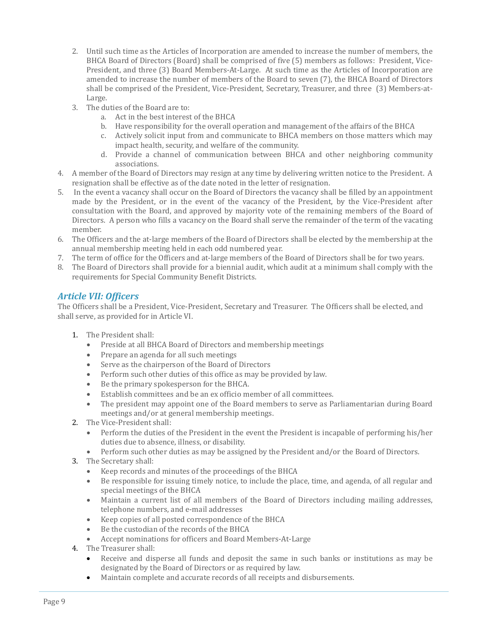- 2. Until such time as the Articles of Incorporation are amended to increase the number of members, the BHCA Board of Directors (Board) shall be comprised of five (5) members as follows: President, Vice-President, and three (3) Board Members-At-Large. At such time as the Articles of Incorporation are amended to increase the number of members of the Board to seven (7), the BHCA Board of Directors shall be comprised of the President, Vice-President, Secretary, Treasurer, and three (3) Members-at-Large.
- 3. The duties of the Board are to:
	- a. Act in the best interest of the BHCA
	- b. Have responsibility for the overall operation and management of the affairs of the BHCA
	- c. Actively solicit input from and communicate to BHCA members on those matters which may impact health, security, and welfare of the community.
	- d. Provide a channel of communication between BHCA and other neighboring community associations.
- 4. A member of the Board of Directors may resign at any time by delivering written notice to the President. A resignation shall be effective as of the date noted in the letter of resignation.
- 5. In the event a vacancy shall occur on the Board of Directors the vacancy shall be filled by an appointment made by the President, or in the event of the vacancy of the President, by the Vice-President after consultation with the Board, and approved by majority vote of the remaining members of the Board of Directors. A person who fills a vacancy on the Board shall serve the remainder of the term of the vacating member.
- 6. The Officers and the at-large members of the Board of Directors shall be elected by the membership at the annual membership meeting held in each odd numbered year.
- 7. The term of office for the Officers and at-large members of the Board of Directors shall be for two years.
- 8. The Board of Directors shall provide for a biennial audit, which audit at a minimum shall comply with the requirements for Special Community Benefit Districts.

### *Article VII: Officers*

The Officers shall be a President, Vice-President, Secretary and Treasurer. The Officers shall be elected, and shall serve, as provided for in Article VI.

- 1. The President shall:
	- Preside at all BHCA Board of Directors and membership meetings
	- Prepare an agenda for all such meetings
	- Serve as the chairperson of the Board of Directors
	- Perform such other duties of this office as may be provided by law.
	- Be the primary spokesperson for the BHCA.
	- Establish committees and be an ex officio member of all committees.
	- The president may appoint one of the Board members to serve as Parliamentarian during Board meetings and/or at general membership meetings.
- 2. The Vice-President shall:
	- Perform the duties of the President in the event the President is incapable of performing his/her duties due to absence, illness, or disability.
	- Perform such other duties as may be assigned by the President and/or the Board of Directors.
- 3. The Secretary shall:
	- Keep records and minutes of the proceedings of the BHCA
	- Be responsible for issuing timely notice, to include the place, time, and agenda, of all regular and special meetings of the BHCA
	- Maintain a current list of all members of the Board of Directors including mailing addresses, telephone numbers, and e-mail addresses
	- Keep copies of all posted correspondence of the BHCA
	- Be the custodian of the records of the BHCA
	- Accept nominations for officers and Board Members-At-Large
- 4. The Treasurer shall:
	- Receive and disperse all funds and deposit the same in such banks or institutions as may be designated by the Board of Directors or as required by law.
	- Maintain complete and accurate records of all receipts and disbursements.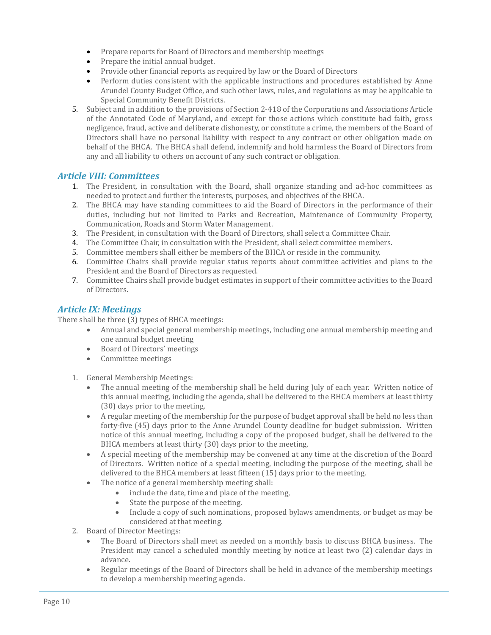- Prepare reports for Board of Directors and membership meetings
- Prepare the initial annual budget.
- Provide other financial reports as required by law or the Board of Directors
- Perform duties consistent with the applicable instructions and procedures established by Anne Arundel County Budget Office, and such other laws, rules, and regulations as may be applicable to Special Community Benefit Districts.
- 5. Subject and in addition to the provisions of Section 2-418 of the Corporations and Associations Article of the Annotated Code of Maryland, and except for those actions which constitute bad faith, gross negligence, fraud, active and deliberate dishonesty, or constitute a crime, the members of the Board of Directors shall have no personal liability with respect to any contract or other obligation made on behalf of the BHCA. The BHCA shall defend, indemnify and hold harmless the Board of Directors from any and all liability to others on account of any such contract or obligation.

### *Article VIII: Committees*

- 1. The President, in consultation with the Board, shall organize standing and ad-hoc committees as needed to protect and further the interests, purposes, and objectives of the BHCA.
- 2. The BHCA may have standing committees to aid the Board of Directors in the performance of their duties, including but not limited to Parks and Recreation, Maintenance of Community Property, Communication, Roads and Storm Water Management.
- 3. The President, in consultation with the Board of Directors, shall select a Committee Chair.
- 4. The Committee Chair, in consultation with the President, shall select committee members.
- 5. Committee members shall either be members of the BHCA or reside in the community.
- 6. Committee Chairs shall provide regular status reports about committee activities and plans to the President and the Board of Directors as requested.
- 7. Committee Chairs shall provide budget estimates in support of their committee activities to the Board of Directors.

### *Article IX: Meetings*

There shall be three (3) types of BHCA meetings:

- Annual and special general membership meetings, including one annual membership meeting and one annual budget meeting
- Board of Directors' meetings
- Committee meetings
- 1. General Membership Meetings:
	- The annual meeting of the membership shall be held during July of each year. Written notice of this annual meeting, including the agenda, shall be delivered to the BHCA members at least thirty (30) days prior to the meeting.
	- A regular meeting of the membership for the purpose of budget approval shall be held no less than forty-five (45) days prior to the Anne Arundel County deadline for budget submission. Written notice of this annual meeting, including a copy of the proposed budget, shall be delivered to the BHCA members at least thirty (30) days prior to the meeting.
	- A special meeting of the membership may be convened at any time at the discretion of the Board of Directors. Written notice of a special meeting, including the purpose of the meeting, shall be delivered to the BHCA members at least fifteen (15) days prior to the meeting.
	- The notice of a general membership meeting shall:
		- include the date, time and place of the meeting,
		- State the purpose of the meeting.
		- Include a copy of such nominations, proposed bylaws amendments, or budget as may be considered at that meeting.
- 2. Board of Director Meetings:
	- The Board of Directors shall meet as needed on a monthly basis to discuss BHCA business. The President may cancel a scheduled monthly meeting by notice at least two (2) calendar days in advance.
	- Regular meetings of the Board of Directors shall be held in advance of the membership meetings to develop a membership meeting agenda.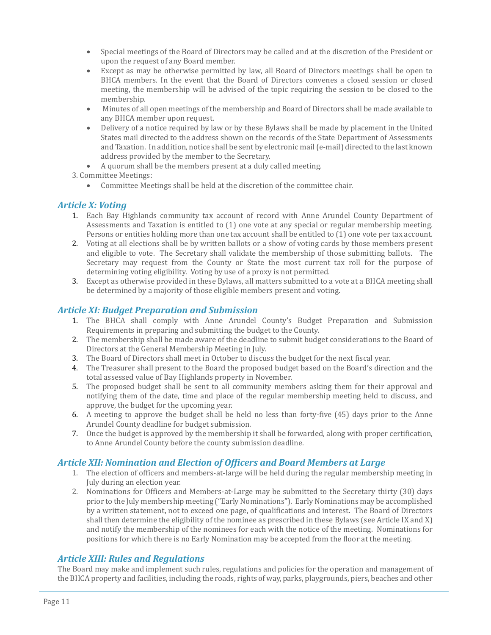- Special meetings of the Board of Directors may be called and at the discretion of the President or upon the request of any Board member.
- Except as may be otherwise permitted by law, all Board of Directors meetings shall be open to BHCA members. In the event that the Board of Directors convenes a closed session or closed meeting, the membership will be advised of the topic requiring the session to be closed to the membership.
- Minutes of all open meetings of the membership and Board of Directors shall be made available to any BHCA member upon request.
- Delivery of a notice required by law or by these Bylaws shall be made by placement in the United States mail directed to the address shown on the records of the State Department of Assessments and Taxation. In addition, notice shall be sent by electronic mail (e-mail) directed to the last known address provided by the member to the Secretary.
- A quorum shall be the members present at a duly called meeting.
- 3. Committee Meetings:
	- Committee Meetings shall be held at the discretion of the committee chair.

### *Article X: Voting*

- 1. Each Bay Highlands community tax account of record with Anne Arundel County Department of Assessments and Taxation is entitled to (1) one vote at any special or regular membership meeting. Persons or entities holding more than one tax account shall be entitled to (1) one vote per tax account.
- 2. Voting at all elections shall be by written ballots or a show of voting cards by those members present and eligible to vote. The Secretary shall validate the membership of those submitting ballots. The Secretary may request from the County or State the most current tax roll for the purpose of determining voting eligibility. Voting by use of a proxy is not permitted.
- 3. Except as otherwise provided in these Bylaws, all matters submitted to a vote at a BHCA meeting shall be determined by a majority of those eligible members present and voting.

### *Article XI: Budget Preparation and Submission*

- 1. The BHCA shall comply with Anne Arundel County's Budget Preparation and Submission Requirements in preparing and submitting the budget to the County.
- 2. The membership shall be made aware of the deadline to submit budget considerations to the Board of Directors at the General Membership Meeting in July.
- 3. The Board of Directors shall meet in October to discuss the budget for the next fiscal year.
- 4. The Treasurer shall present to the Board the proposed budget based on the Board's direction and the total assessed value of Bay Highlands property in November.
- 5. The proposed budget shall be sent to all community members asking them for their approval and notifying them of the date, time and place of the regular membership meeting held to discuss, and approve, the budget for the upcoming year.
- 6. A meeting to approve the budget shall be held no less than forty-five (45) days prior to the Anne Arundel County deadline for budget submission.
- 7. Once the budget is approved by the membership it shall be forwarded, along with proper certification, to Anne Arundel County before the county submission deadline.

### *Article XII: Nomination and Election of Officers and Board Members at Large*

- 1. The election of officers and members-at-large will be held during the regular membership meeting in July during an election year.
- 2. Nominations for Officers and Members-at-Large may be submitted to the Secretary thirty (30) days prior to the July membership meeting ("Early Nominations"). Early Nominations may be accomplished by a written statement, not to exceed one page, of qualifications and interest. The Board of Directors shall then determine the eligibility of the nominee as prescribed in these Bylaws (see Article IX and X) and notify the membership of the nominees for each with the notice of the meeting. Nominations for positions for which there is no Early Nomination may be accepted from the floor at the meeting.

### *Article XIII: Rules and Regulations*

The Board may make and implement such rules, regulations and policies for the operation and management of the BHCA property and facilities, including the roads, rights of way, parks, playgrounds, piers, beaches and other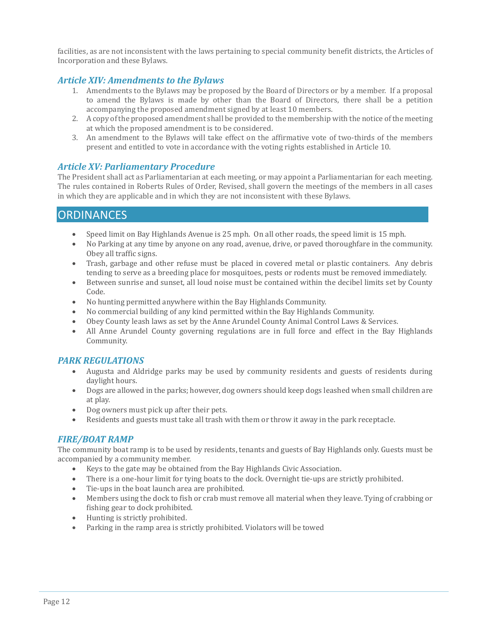facilities, as are not inconsistent with the laws pertaining to special community benefit districts, the Articles of Incorporation and these Bylaws.

### *Article XIV: Amendments to the Bylaws*

- 1. Amendments to the Bylaws may be proposed by the Board of Directors or by a member. If a proposal to amend the Bylaws is made by other than the Board of Directors, there shall be a petition accompanying the proposed amendment signed by at least 10 members.
- 2. A copy of the proposed amendment shall be provided to the membership with the notice of the meeting at which the proposed amendment is to be considered.
- 3. An amendment to the Bylaws will take effect on the affirmative vote of two-thirds of the members present and entitled to vote in accordance with the voting rights established in Article 10.

### *Article XV: Parliamentary Procedure*

The President shall act as Parliamentarian at each meeting, or may appoint a Parliamentarian for each meeting. The rules contained in Roberts Rules of Order, Revised, shall govern the meetings of the members in all cases in which they are applicable and in which they are not inconsistent with these Bylaws.

## **ORDINANCES**

- Speed limit on Bay Highlands Avenue is 25 mph. On all other roads, the speed limit is 15 mph.
- No Parking at any time by anyone on any road, avenue, drive, or paved thoroughfare in the community. Obey all traffic signs.
- Trash, garbage and other refuse must be placed in covered metal or plastic containers. Any debris tending to serve as a breeding place for mosquitoes, pests or rodents must be removed immediately.
- Between sunrise and sunset, all loud noise must be contained within the decibel limits set by County Code.
- No hunting permitted anywhere within the Bay Highlands Community.
- No commercial building of any kind permitted within the Bay Highlands Community.
- Obey County leash laws as set by the Anne Arundel County Animal Control Laws & Services.<br>• All Anne Arundel County governing regulations are in full force and effect in the Bay I
- All Anne Arundel County governing regulations are in full force and effect in the Bay Highlands Community.

### *PARK REGULATIONS*

- Augusta and Aldridge parks may be used by community residents and guests of residents during daylight hours.
- Dogs are allowed in the parks; however, dog owners should keep dogs leashed when small children are at play.
- Dog owners must pick up after their pets.
- Residents and guests must take all trash with them or throw it away in the park receptacle.

### *FIRE/BOAT RAMP*

The community boat ramp is to be used by residents, tenants and guests of Bay Highlands only. Guests must be accompanied by a community member.

- Keys to the gate may be obtained from the Bay Highlands Civic Association.
- There is a one-hour limit for tying boats to the dock. Overnight tie-ups are strictly prohibited.
- Tie-ups in the boat launch area are prohibited.
- Members using the dock to fish or crab must remove all material when they leave. Tying of crabbing or fishing gear to dock prohibited.
- Hunting is strictly prohibited.<br>• Parking in the ramp area is str
- Parking in the ramp area is strictly prohibited. Violators will be towed